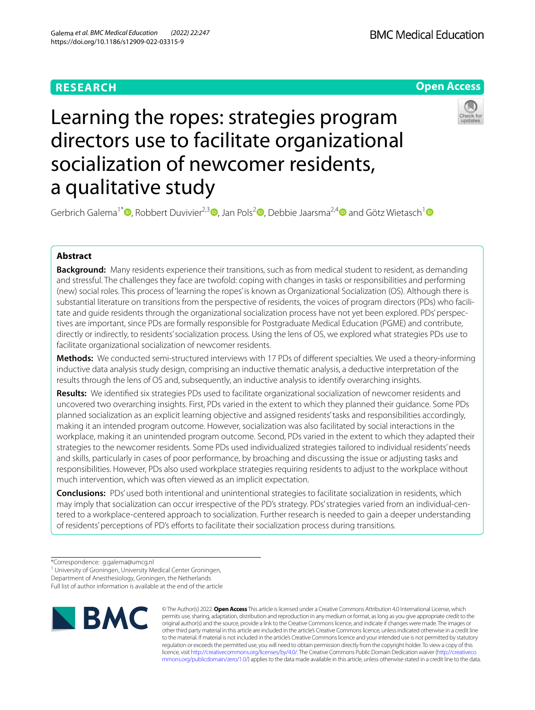# **RESEARCH**



# Learning the ropes: strategies program directors use to facilitate organizational socialization of newcomer residents, a qualitative study



Gerbrich Galema<sup>1[\\*](http://orcid.org/0000-0002-5971-4855)</sup><sup>®</sup>[,](http://orcid.org/0000-0001-8282-1715) Robbert Duvivier<sup>2[,](http://orcid.org/0000-0001-6731-6083)3</sup><sup>®</sup>, Jan Pols<sup>2</sup><sup>®</sup>, Debbie Jaarsma<sup>2,[4](http://orcid.org/0000-0003-1668-2002)</sup> and Götz Wietasch<sup>[1](http://orcid.org/0000-0001-8001-5648)</sup><sup>®</sup>

## **Abstract**

**Background:** Many residents experience their transitions, such as from medical student to resident, as demanding and stressful. The challenges they face are twofold: coping with changes in tasks or responsibilities and performing (new) social roles. This process of 'learning the ropes' is known as Organizational Socialization (OS). Although there is substantial literature on transitions from the perspective of residents, the voices of program directors (PDs) who facilitate and guide residents through the organizational socialization process have not yet been explored. PDs' perspectives are important, since PDs are formally responsible for Postgraduate Medical Education (PGME) and contribute, directly or indirectly, to residents' socialization process. Using the lens of OS, we explored what strategies PDs use to facilitate organizational socialization of newcomer residents.

**Methods:** We conducted semi-structured interviews with 17 PDs of diferent specialties. We used a theory-informing inductive data analysis study design, comprising an inductive thematic analysis, a deductive interpretation of the results through the lens of OS and, subsequently, an inductive analysis to identify overarching insights.

**Results:** We identifed six strategies PDs used to facilitate organizational socialization of newcomer residents and uncovered two overarching insights. First, PDs varied in the extent to which they planned their guidance. Some PDs planned socialization as an explicit learning objective and assigned residents' tasks and responsibilities accordingly, making it an intended program outcome. However, socialization was also facilitated by social interactions in the workplace, making it an unintended program outcome. Second, PDs varied in the extent to which they adapted their strategies to the newcomer residents. Some PDs used individualized strategies tailored to individual residents' needs and skills, particularly in cases of poor performance, by broaching and discussing the issue or adjusting tasks and responsibilities. However, PDs also used workplace strategies requiring residents to adjust to the workplace without much intervention, which was often viewed as an implicit expectation.

**Conclusions:** PDs' used both intentional and unintentional strategies to facilitate socialization in residents, which may imply that socialization can occur irrespective of the PD's strategy. PDs' strategies varied from an individual-centered to a workplace-centered approach to socialization. Further research is needed to gain a deeper understanding of residents' perceptions of PD's eforts to facilitate their socialization process during transitions.

<sup>1</sup> University of Groningen, University Medical Center Groningen,

Full list of author information is available at the end of the article



© The Author(s) 2022. **Open Access** This article is licensed under a Creative Commons Attribution 4.0 International License, which permits use, sharing, adaptation, distribution and reproduction in any medium or format, as long as you give appropriate credit to the original author(s) and the source, provide a link to the Creative Commons licence, and indicate if changes were made. The images or other third party material in this article are included in the article's Creative Commons licence, unless indicated otherwise in a credit line to the material. If material is not included in the article's Creative Commons licence and your intended use is not permitted by statutory regulation or exceeds the permitted use, you will need to obtain permission directly from the copyright holder. To view a copy of this licence, visit [http://creativecommons.org/licenses/by/4.0/.](http://creativecommons.org/licenses/by/4.0/) The Creative Commons Public Domain Dedication waiver ([http://creativeco](http://creativecommons.org/publicdomain/zero/1.0/) [mmons.org/publicdomain/zero/1.0/](http://creativecommons.org/publicdomain/zero/1.0/)) applies to the data made available in this article, unless otherwise stated in a credit line to the data.

<sup>\*</sup>Correspondence: g.galema@umcg.nl

Department of Anesthesiology, Groningen, the Netherlands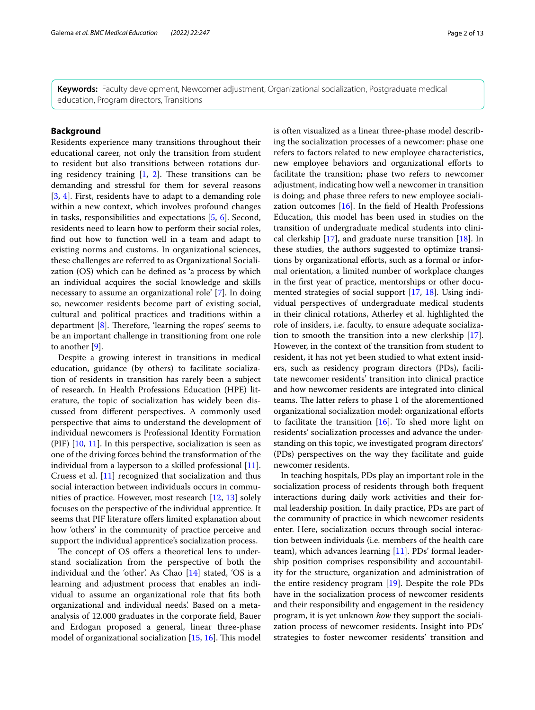**Keywords:** Faculty development, Newcomer adjustment, Organizational socialization, Postgraduate medical education, Program directors, Transitions

## **Background**

Residents experience many transitions throughout their educational career, not only the transition from student to resident but also transitions between rotations during residency training  $[1, 2]$  $[1, 2]$  $[1, 2]$ . These transitions can be demanding and stressful for them for several reasons [[3,](#page-11-2) [4](#page-11-3)]. First, residents have to adapt to a demanding role within a new context, which involves profound changes in tasks, responsibilities and expectations [[5,](#page-11-4) [6\]](#page-11-5). Second, residents need to learn how to perform their social roles, fnd out how to function well in a team and adapt to existing norms and customs. In organizational sciences, these challenges are referred to as Organizational Socialization (OS) which can be defned as 'a process by which an individual acquires the social knowledge and skills necessary to assume an organizational role' [\[7](#page-11-6)]. In doing so, newcomer residents become part of existing social, cultural and political practices and traditions within a department  $[8]$  $[8]$ . Therefore, 'learning the ropes' seems to be an important challenge in transitioning from one role to another [[9\]](#page-11-8).

Despite a growing interest in transitions in medical education, guidance (by others) to facilitate socialization of residents in transition has rarely been a subject of research. In Health Professions Education (HPE) literature, the topic of socialization has widely been discussed from diferent perspectives. A commonly used perspective that aims to understand the development of individual newcomers is Professional Identity Formation (PIF)  $[10, 11]$  $[10, 11]$  $[10, 11]$  $[10, 11]$ . In this perspective, socialization is seen as one of the driving forces behind the transformation of the individual from a layperson to a skilled professional [\[11](#page-11-10)]. Cruess et al. [\[11\]](#page-11-10) recognized that socialization and thus social interaction between individuals occurs in communities of practice. However, most research [[12](#page-11-11), [13](#page-11-12)] solely focuses on the perspective of the individual apprentice. It seems that PIF literature offers limited explanation about how 'others' in the community of practice perceive and support the individual apprentice's socialization process.

The concept of OS offers a theoretical lens to understand socialization from the perspective of both the individual and the 'other'. As Chao [\[14](#page-11-13)] stated, 'OS is a learning and adjustment process that enables an individual to assume an organizational role that fts both organizational and individual needs'. Based on a metaanalysis of 12.000 graduates in the corporate feld, Bauer and Erdogan proposed a general, linear three-phase model of organizational socialization  $[15, 16]$  $[15, 16]$  $[15, 16]$ . This model is often visualized as a linear three-phase model describing the socialization processes of a newcomer: phase one refers to factors related to new employee characteristics, new employee behaviors and organizational efforts to facilitate the transition; phase two refers to newcomer adjustment, indicating how well a newcomer in transition is doing; and phase three refers to new employee socialization outcomes [\[16](#page-12-0)]. In the feld of Health Professions Education, this model has been used in studies on the transition of undergraduate medical students into clinical clerkship [\[17\]](#page-12-1), and graduate nurse transition [\[18](#page-12-2)]. In these studies, the authors suggested to optimize transitions by organizational efforts, such as a formal or informal orientation, a limited number of workplace changes in the frst year of practice, mentorships or other documented strategies of social support [[17,](#page-12-1) [18](#page-12-2)]. Using individual perspectives of undergraduate medical students in their clinical rotations, Atherley et al. highlighted the role of insiders, i.e. faculty, to ensure adequate socialization to smooth the transition into a new clerkship [\[17](#page-12-1)]. However, in the context of the transition from student to resident, it has not yet been studied to what extent insiders, such as residency program directors (PDs), facilitate newcomer residents' transition into clinical practice and how newcomer residents are integrated into clinical teams. The latter refers to phase 1 of the aforementioned

organizational socialization model: organizational eforts to facilitate the transition  $[16]$  $[16]$ . To shed more light on residents' socialization processes and advance the understanding on this topic, we investigated program directors' (PDs) perspectives on the way they facilitate and guide

In teaching hospitals, PDs play an important role in the socialization process of residents through both frequent interactions during daily work activities and their formal leadership position. In daily practice, PDs are part of the community of practice in which newcomer residents enter. Here, socialization occurs through social interaction between individuals (i.e. members of the health care team), which advances learning [[11](#page-11-10)]. PDs' formal leadership position comprises responsibility and accountability for the structure, organization and administration of the entire residency program [[19\]](#page-12-3). Despite the role PDs have in the socialization process of newcomer residents and their responsibility and engagement in the residency program, it is yet unknown *how* they support the socialization process of newcomer residents. Insight into PDs' strategies to foster newcomer residents' transition and

newcomer residents.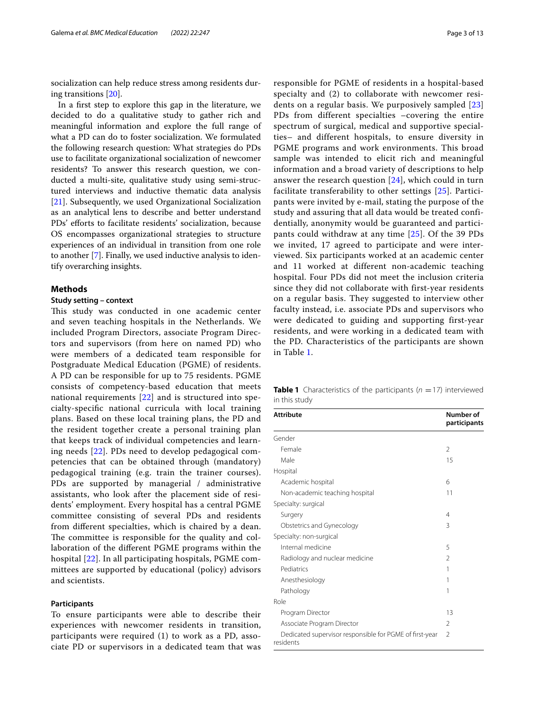socialization can help reduce stress among residents during transitions [[20\]](#page-12-4).

In a frst step to explore this gap in the literature, we decided to do a qualitative study to gather rich and meaningful information and explore the full range of what a PD can do to foster socialization. We formulated the following research question: What strategies do PDs use to facilitate organizational socialization of newcomer residents? To answer this research question, we conducted a multi-site, qualitative study using semi-structured interviews and inductive thematic data analysis [[21\]](#page-12-5). Subsequently, we used Organizational Socialization as an analytical lens to describe and better understand PDs' efforts to facilitate residents' socialization, because OS encompasses organizational strategies to structure experiences of an individual in transition from one role to another [[7\]](#page-11-6). Finally, we used inductive analysis to identify overarching insights.

## **Methods**

#### **Study setting – context**

This study was conducted in one academic center and seven teaching hospitals in the Netherlands. We included Program Directors, associate Program Directors and supervisors (from here on named PD) who were members of a dedicated team responsible for Postgraduate Medical Education (PGME) of residents. A PD can be responsible for up to 75 residents. PGME consists of competency-based education that meets national requirements [\[22](#page-12-6)] and is structured into specialty-specifc national curricula with local training plans. Based on these local training plans, the PD and the resident together create a personal training plan that keeps track of individual competencies and learning needs [\[22](#page-12-6)]. PDs need to develop pedagogical competencies that can be obtained through (mandatory) pedagogical training (e.g. train the trainer courses). PDs are supported by managerial / administrative assistants, who look after the placement side of residents' employment. Every hospital has a central PGME committee consisting of several PDs and residents from diferent specialties, which is chaired by a dean. The committee is responsible for the quality and collaboration of the diferent PGME programs within the hospital [\[22](#page-12-6)]. In all participating hospitals, PGME committees are supported by educational (policy) advisors and scientists.

#### **Participants**

To ensure participants were able to describe their experiences with newcomer residents in transition, participants were required (1) to work as a PD, associate PD or supervisors in a dedicated team that was responsible for PGME of residents in a hospital-based specialty and (2) to collaborate with newcomer residents on a regular basis. We purposively sampled [\[23](#page-12-7)] PDs from different specialties –covering the entire spectrum of surgical, medical and supportive specialties– and different hospitals, to ensure diversity in PGME programs and work environments. This broad sample was intended to elicit rich and meaningful information and a broad variety of descriptions to help answer the research question [[24\]](#page-12-8), which could in turn facilitate transferability to other settings [\[25](#page-12-9)]. Participants were invited by e-mail, stating the purpose of the study and assuring that all data would be treated confidentially, anonymity would be guaranteed and participants could withdraw at any time [\[25\]](#page-12-9). Of the 39 PDs we invited, 17 agreed to participate and were interviewed. Six participants worked at an academic center and 11 worked at different non-academic teaching hospital. Four PDs did not meet the inclusion criteria since they did not collaborate with first-year residents on a regular basis. They suggested to interview other faculty instead, i.e. associate PDs and supervisors who were dedicated to guiding and supporting first-year residents, and were working in a dedicated team with the PD. Characteristics of the participants are shown in Table [1](#page-2-0).

<span id="page-2-0"></span>**Table 1** Characteristics of the participants  $(n = 17)$  interviewed in this study

| <b>Attribute</b>                                                     | Number of<br>participants |
|----------------------------------------------------------------------|---------------------------|
| Gender                                                               |                           |
| Female                                                               | $\mathfrak{D}$            |
| Male                                                                 | 15                        |
| Hospital                                                             |                           |
| Academic hospital                                                    | 6                         |
| Non-academic teaching hospital                                       | 11                        |
| Specialty: surgical                                                  |                           |
| Surgery                                                              | 4                         |
| Obstetrics and Gynecology                                            | 3                         |
| Specialty: non-surgical                                              |                           |
| Internal medicine                                                    | 5                         |
| Radiology and nuclear medicine                                       | $\mathfrak{D}$            |
| Pediatrics                                                           | 1                         |
| Anesthesiology                                                       | 1                         |
| Pathology                                                            | 1                         |
| Role                                                                 |                           |
| Program Director                                                     | 13                        |
| Associate Program Director                                           | $\mathfrak{D}$            |
| Dedicated supervisor responsible for PGME of first-year<br>residents | 2                         |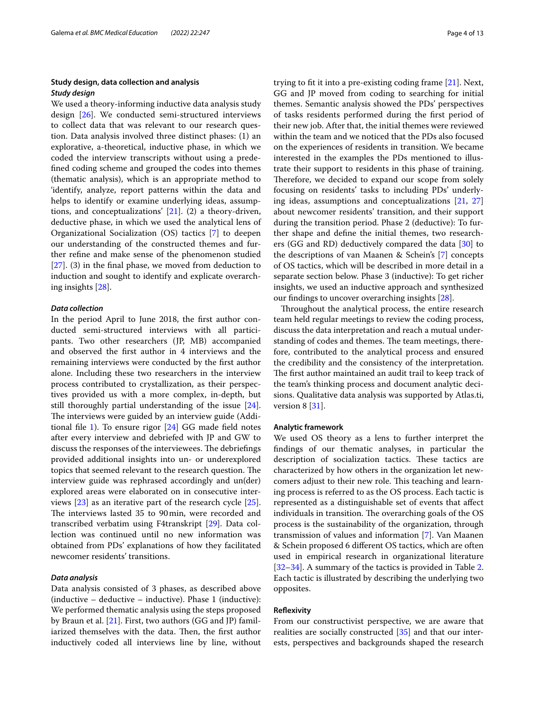## **Study design, data collection and analysis** *Study design*

We used a theory-informing inductive data analysis study design [\[26](#page-12-10)]. We conducted semi-structured interviews to collect data that was relevant to our research question. Data analysis involved three distinct phases: (1) an explorative, a-theoretical, inductive phase, in which we coded the interview transcripts without using a predefned coding scheme and grouped the codes into themes (thematic analysis), which is an appropriate method to 'identify, analyze, report patterns within the data and helps to identify or examine underlying ideas, assumptions, and conceptualizations' [\[21](#page-12-5)]. (2) a theory-driven, deductive phase, in which we used the analytical lens of Organizational Socialization (OS) tactics [\[7\]](#page-11-6) to deepen our understanding of the constructed themes and further refne and make sense of the phenomenon studied  $[27]$  $[27]$ . (3) in the final phase, we moved from deduction to induction and sought to identify and explicate overarching insights [\[28\]](#page-12-12).

#### *Data collection*

In the period April to June 2018, the frst author conducted semi-structured interviews with all participants. Two other researchers (JP, MB) accompanied and observed the frst author in 4 interviews and the remaining interviews were conducted by the frst author alone. Including these two researchers in the interview process contributed to crystallization, as their perspectives provided us with a more complex, in-depth, but still thoroughly partial understanding of the issue [\[24](#page-12-8)]. The interviews were guided by an interview guide (Additional file  $1$ ). To ensure rigor  $[24]$  $[24]$  GG made field notes after every interview and debriefed with JP and GW to discuss the responses of the interviewees. The debriefings provided additional insights into un- or underexplored topics that seemed relevant to the research question. The interview guide was rephrased accordingly and un(der) explored areas were elaborated on in consecutive interviews [[23\]](#page-12-7) as an iterative part of the research cycle [\[25](#page-12-9)]. The interviews lasted 35 to 90min, were recorded and transcribed verbatim using F4transkript [\[29\]](#page-12-13). Data collection was continued until no new information was obtained from PDs' explanations of how they facilitated newcomer residents' transitions.

## *Data analysis*

Data analysis consisted of 3 phases, as described above (inductive – deductive – inductive). Phase 1 (inductive): We performed thematic analysis using the steps proposed by Braun et al. [\[21](#page-12-5)]. First, two authors (GG and JP) familiarized themselves with the data. Then, the first author inductively coded all interviews line by line, without trying to ft it into a pre-existing coding frame [[21](#page-12-5)]. Next, GG and JP moved from coding to searching for initial themes. Semantic analysis showed the PDs' perspectives of tasks residents performed during the frst period of their new job. After that, the initial themes were reviewed within the team and we noticed that the PDs also focused on the experiences of residents in transition. We became interested in the examples the PDs mentioned to illustrate their support to residents in this phase of training. Therefore, we decided to expand our scope from solely focusing on residents' tasks to including PDs' underlying ideas, assumptions and conceptualizations [\[21,](#page-12-5) [27](#page-12-11)] about newcomer residents' transition, and their support during the transition period. Phase 2 (deductive): To further shape and defne the initial themes, two researchers (GG and RD) deductively compared the data [[30\]](#page-12-14) to the descriptions of van Maanen & Schein's [[7\]](#page-11-6) concepts of OS tactics, which will be described in more detail in a separate section below. Phase 3 (inductive): To get richer insights, we used an inductive approach and synthesized our fndings to uncover overarching insights [[28](#page-12-12)].

Throughout the analytical process, the entire research team held regular meetings to review the coding process, discuss the data interpretation and reach a mutual understanding of codes and themes. The team meetings, therefore, contributed to the analytical process and ensured the credibility and the consistency of the interpretation. The first author maintained an audit trail to keep track of the team's thinking process and document analytic decisions. Qualitative data analysis was supported by Atlas.ti, version 8 [\[31](#page-12-15)].

#### **Analytic framework**

We used OS theory as a lens to further interpret the fndings of our thematic analyses, in particular the description of socialization tactics. These tactics are characterized by how others in the organization let newcomers adjust to their new role. This teaching and learning process is referred to as the OS process. Each tactic is represented as a distinguishable set of events that afect individuals in transition. The overarching goals of the OS process is the sustainability of the organization, through transmission of values and information [[7\]](#page-11-6). Van Maanen & Schein proposed 6 diferent OS tactics, which are often used in empirical research in organizational literature [[32–](#page-12-16)[34\]](#page-12-17). A summary of the tactics is provided in Table [2](#page-4-0). Each tactic is illustrated by describing the underlying two opposites.

#### **Refexivity**

From our constructivist perspective, we are aware that realities are socially constructed [\[35](#page-12-18)] and that our interests, perspectives and backgrounds shaped the research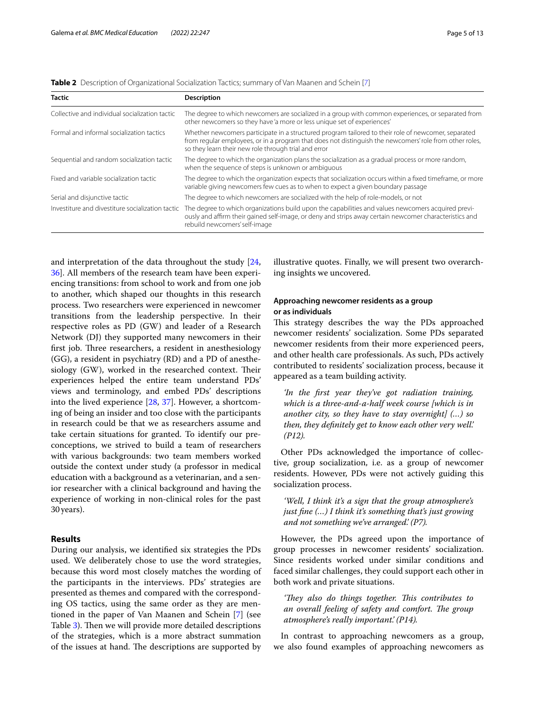| <b>Tactic</b>                                    | <b>Description</b>                                                                                                                                                                                                                                                     |
|--------------------------------------------------|------------------------------------------------------------------------------------------------------------------------------------------------------------------------------------------------------------------------------------------------------------------------|
| Collective and individual socialization tactic   | The degree to which newcomers are socialized in a group with common experiences, or separated from<br>other newcomers so they have 'a more or less unique set of experiences'                                                                                          |
| Formal and informal socialization tactics        | Whether newcomers participate in a structured program tailored to their role of newcomer, separated<br>from regular employees, or in a program that does not distinguish the newcomers' role from other roles,<br>so they learn their new role through trial and error |
| Sequential and random socialization tactic       | The degree to which the organization plans the socialization as a gradual process or more random,<br>when the sequence of steps is unknown or ambiguous                                                                                                                |
| Fixed and variable socialization tactic          | The degree to which the organization expects that socialization occurs within a fixed timeframe, or more<br>variable giving newcomers few cues as to when to expect a given boundary passage                                                                           |
| Serial and disjunctive tactic                    | The degree to which newcomers are socialized with the help of role-models, or not                                                                                                                                                                                      |
| Investiture and divestiture socialization tactic | The degree to which organizations build upon the capabilities and values newcomers acquired previ-<br>ously and affirm their gained self-image, or deny and strips away certain newcomer characteristics and<br>rebuild newcomers' self-image                          |

<span id="page-4-0"></span>**Table 2** Description of Organizational Socialization Tactics; summary of Van Maanen and Schein [[7\]](#page-11-6)

and interpretation of the data throughout the study [\[24](#page-12-8), [36\]](#page-12-19). All members of the research team have been experiencing transitions: from school to work and from one job to another, which shaped our thoughts in this research process. Two researchers were experienced in newcomer transitions from the leadership perspective. In their respective roles as PD (GW) and leader of a Research Network (DJ) they supported many newcomers in their first job. Three researchers, a resident in anesthesiology (GG), a resident in psychiatry (RD) and a PD of anesthesiology (GW), worked in the researched context. Their experiences helped the entire team understand PDs' views and terminology, and embed PDs' descriptions into the lived experience [\[28](#page-12-12), [37](#page-12-20)]. However, a shortcoming of being an insider and too close with the participants in research could be that we as researchers assume and take certain situations for granted. To identify our preconceptions, we strived to build a team of researchers with various backgrounds: two team members worked outside the context under study (a professor in medical education with a background as a veterinarian, and a senior researcher with a clinical background and having the experience of working in non-clinical roles for the past 30years).

## **Results**

During our analysis, we identifed six strategies the PDs used. We deliberately chose to use the word strategies, because this word most closely matches the wording of the participants in the interviews. PDs' strategies are presented as themes and compared with the corresponding OS tactics, using the same order as they are mentioned in the paper of Van Maanen and Schein [[7\]](#page-11-6) (see Table [3](#page-5-0)). Then we will provide more detailed descriptions of the strategies, which is a more abstract summation of the issues at hand. The descriptions are supported by illustrative quotes. Finally, we will present two overarching insights we uncovered.

## **Approaching newcomer residents as a group or as individuals**

This strategy describes the way the PDs approached newcomer residents' socialization. Some PDs separated newcomer residents from their more experienced peers, and other health care professionals. As such, PDs actively contributed to residents' socialization process, because it appeared as a team building activity.

*'In the frst year they've got radiation training, which is a three-and-a-half week course [which is in another city, so they have to stay overnight] (…) so then, they defnitely get to know each other very well.' (P12).*

Other PDs acknowledged the importance of collective, group socialization, i.e. as a group of newcomer residents. However, PDs were not actively guiding this socialization process.

*'Well, I think it's a sign that the group atmosphere's just fne (…) I think it's something that's just growing and not something we've arranged.' (P7).*

However, the PDs agreed upon the importance of group processes in newcomer residents' socialization. Since residents worked under similar conditions and faced similar challenges, they could support each other in both work and private situations.

*'They also do things together. This contributes to an overall feeling of safety and comfort. The group atmosphere's really important.' (P14).*

In contrast to approaching newcomers as a group, we also found examples of approaching newcomers as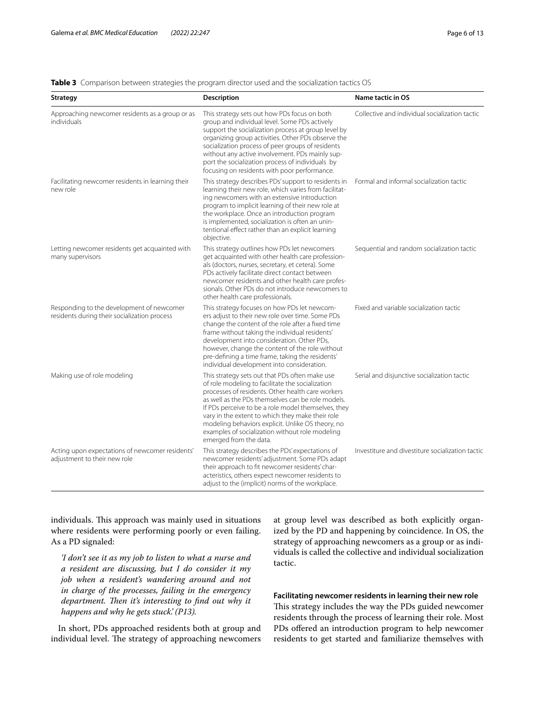## <span id="page-5-0"></span>**Table 3** Comparison between strategies the program director used and the socialization tactics OS

| <b>Strategy</b>                                                                           | <b>Description</b>                                                                                                                                                                                                                                                                                                                                                                                                                                        | Name tactic in OS                                |
|-------------------------------------------------------------------------------------------|-----------------------------------------------------------------------------------------------------------------------------------------------------------------------------------------------------------------------------------------------------------------------------------------------------------------------------------------------------------------------------------------------------------------------------------------------------------|--------------------------------------------------|
| Approaching newcomer residents as a group or as<br>individuals                            | This strategy sets out how PDs focus on both<br>group and individual level. Some PDs actively<br>support the socialization process at group level by<br>organizing group activities. Other PDs observe the<br>socialization process of peer groups of residents<br>without any active involvement. PDs mainly sup-<br>port the socialization process of individuals by<br>focusing on residents with poor performance.                                    | Collective and individual socialization tactic   |
| Facilitating newcomer residents in learning their<br>new role                             | This strategy describes PDs' support to residents in<br>learning their new role, which varies from facilitat-<br>ing newcomers with an extensive introduction<br>program to implicit learning of their new role at<br>the workplace. Once an introduction program<br>is implemented, socialization is often an unin-<br>tentional effect rather than an explicit learning<br>objective.                                                                   | Formal and informal socialization tactic         |
| Letting newcomer residents get acquainted with<br>many supervisors                        | This strategy outlines how PDs let newcomers<br>get acquainted with other health care profession-<br>als (doctors, nurses, secretary, et cetera). Some<br>PDs actively facilitate direct contact between<br>newcomer residents and other health care profes-<br>sionals. Other PDs do not introduce newcomers to<br>other health care professionals.                                                                                                      | Sequential and random socialization tactic       |
| Responding to the development of newcomer<br>residents during their socialization process | This strategy focuses on how PDs let newcom-<br>ers adjust to their new role over time. Some PDs<br>change the content of the role after a fixed time<br>frame without taking the individual residents'<br>development into consideration. Other PDs,<br>however, change the content of the role without<br>pre-defining a time frame, taking the residents'<br>individual development into consideration.                                                | Fixed and variable socialization tactic          |
| Making use of role modeling                                                               | This strategy sets out that PDs often make use<br>of role modeling to facilitate the socialization<br>processes of residents. Other health care workers<br>as well as the PDs themselves can be role models.<br>If PDs perceive to be a role model themselves, they<br>vary in the extent to which they make their role<br>modeling behaviors explicit. Unlike OS theory, no<br>examples of socialization without role modeling<br>emerged from the data. | Serial and disjunctive socialization tactic      |
| Acting upon expectations of newcomer residents'<br>adjustment to their new role           | This strategy describes the PDs' expectations of<br>newcomer residents' adjustment. Some PDs adapt<br>their approach to fit newcomer residents' char-<br>acteristics, others expect newcomer residents to<br>adjust to the (implicit) norms of the workplace.                                                                                                                                                                                             | Investiture and divestiture socialization tactic |

individuals. This approach was mainly used in situations where residents were performing poorly or even failing. As a PD signaled:

*'I don't see it as my job to listen to what a nurse and a resident are discussing, but I do consider it my job when a resident's wandering around and not in charge of the processes, failing in the emergency*  department. Then it's interesting to find out why it *happens and why he gets stuck.' (P13).*

In short, PDs approached residents both at group and individual level. The strategy of approaching newcomers at group level was described as both explicitly organized by the PD and happening by coincidence. In OS, the strategy of approaching newcomers as a group or as individuals is called the collective and individual socialization tactic.

## **Facilitating newcomer residents in learning their new role**

This strategy includes the way the PDs guided newcomer residents through the process of learning their role. Most PDs offered an introduction program to help newcomer residents to get started and familiarize themselves with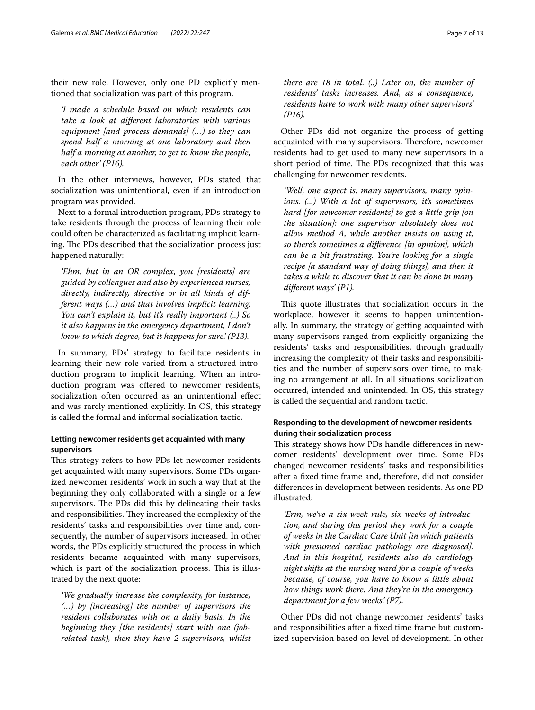their new role. However, only one PD explicitly mentioned that socialization was part of this program.

*'I made a schedule based on which residents can take a look at diferent laboratories with various equipment [and process demands] (…) so they can spend half a morning at one laboratory and then half a morning at another, to get to know the people, each other' (P16).*

In the other interviews, however, PDs stated that socialization was unintentional, even if an introduction program was provided.

Next to a formal introduction program, PDs strategy to take residents through the process of learning their role could often be characterized as facilitating implicit learning. The PDs described that the socialization process just happened naturally:

*'Ehm, but in an OR complex, you [residents] are guided by colleagues and also by experienced nurses, directly, indirectly, directive or in all kinds of different ways (…) and that involves implicit learning. You can't explain it, but it's really important (..) So it also happens in the emergency department, I don't know to which degree, but it happens for sure.' (P13).*

In summary, PDs' strategy to facilitate residents in learning their new role varied from a structured introduction program to implicit learning. When an introduction program was offered to newcomer residents, socialization often occurred as an unintentional efect and was rarely mentioned explicitly. In OS, this strategy is called the formal and informal socialization tactic.

## **Letting newcomer residents get acquainted with many supervisors**

This strategy refers to how PDs let newcomer residents get acquainted with many supervisors. Some PDs organized newcomer residents' work in such a way that at the beginning they only collaborated with a single or a few supervisors. The PDs did this by delineating their tasks and responsibilities. They increased the complexity of the residents' tasks and responsibilities over time and, consequently, the number of supervisors increased. In other words, the PDs explicitly structured the process in which residents became acquainted with many supervisors, which is part of the socialization process. This is illustrated by the next quote:

*'We gradually increase the complexity, for instance, (…) by [increasing] the number of supervisors the resident collaborates with on a daily basis. In the beginning they [the residents] start with one (jobrelated task), then they have 2 supervisors, whilst*  *there are 18 in total. (..) Later on, the number of residents' tasks increases. And, as a consequence, residents have to work with many other supervisors' (P16).*

Other PDs did not organize the process of getting acquainted with many supervisors. Therefore, newcomer residents had to get used to many new supervisors in a short period of time. The PDs recognized that this was challenging for newcomer residents.

*'Well, one aspect is: many supervisors, many opinions. (...) With a lot of supervisors, it's sometimes hard [for newcomer residents] to get a little grip [on the situation]: one supervisor absolutely does not allow method A, while another insists on using it, so there's sometimes a diference [in opinion], which can be a bit frustrating. You're looking for a single recipe [a standard way of doing things], and then it takes a while to discover that it can be done in many diferent ways' (P1).*

This quote illustrates that socialization occurs in the workplace, however it seems to happen unintentionally. In summary, the strategy of getting acquainted with many supervisors ranged from explicitly organizing the residents' tasks and responsibilities, through gradually increasing the complexity of their tasks and responsibilities and the number of supervisors over time, to making no arrangement at all. In all situations socialization occurred, intended and unintended. In OS, this strategy is called the sequential and random tactic.

## **Responding to the development of newcomer residents during their socialization process**

This strategy shows how PDs handle differences in newcomer residents' development over time. Some PDs changed newcomer residents' tasks and responsibilities after a fxed time frame and, therefore, did not consider diferences in development between residents. As one PD illustrated:

*'Erm, we've a six-week rule, six weeks of introduction, and during this period they work for a couple of weeks in the Cardiac Care Unit [in which patients with presumed cardiac pathology are diagnosed]. And in this hospital, residents also do cardiology night shifts at the nursing ward for a couple of weeks because, of course, you have to know a little about how things work there. And they're in the emergency department for a few weeks.' (P7).*

Other PDs did not change newcomer residents' tasks and responsibilities after a fxed time frame but customized supervision based on level of development. In other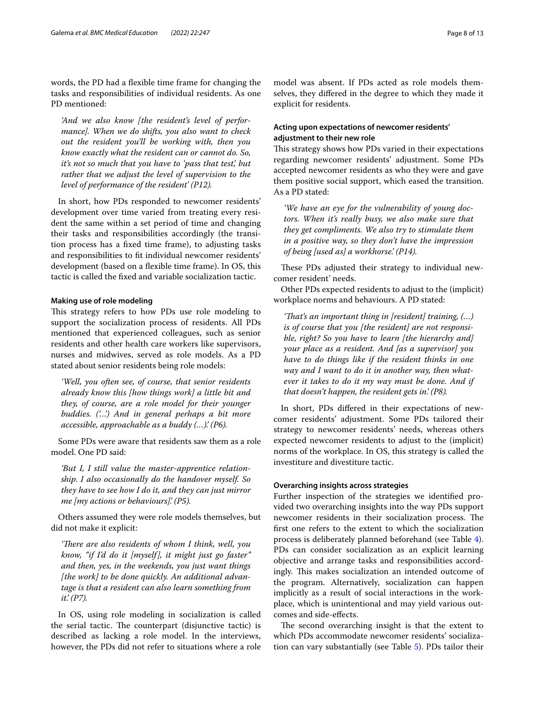words, the PD had a fexible time frame for changing the tasks and responsibilities of individual residents. As one PD mentioned:

*'And we also know [the resident's level of performance]. When we do shifts, you also want to check out the resident you'll be working with, then you know exactly what the resident can or cannot do. So, it's not so much that you have to 'pass that test', but rather that we adjust the level of supervision to the level of performance of the resident' (P12).*

In short, how PDs responded to newcomer residents' development over time varied from treating every resident the same within a set period of time and changing their tasks and responsibilities accordingly (the transition process has a fxed time frame), to adjusting tasks and responsibilities to ft individual newcomer residents' development (based on a flexible time frame). In OS, this tactic is called the fxed and variable socialization tactic.

#### **Making use of role modeling**

This strategy refers to how PDs use role modeling to support the socialization process of residents. All PDs mentioned that experienced colleagues, such as senior residents and other health care workers like supervisors, nurses and midwives, served as role models. As a PD stated about senior residents being role models:

*'Well, you often see, of course, that senior residents already know this [how things work] a little bit and they, of course, are a role model for their younger buddies. ('…') And in general perhaps a bit more accessible, approachable as a buddy (…).' (P6).*

Some PDs were aware that residents saw them as a role model. One PD said:

*'But I, I still value the master-apprentice relationship. I also occasionally do the handover myself. So they have to see how I do it, and they can just mirror me [my actions or behaviours].' (P5).*

Others assumed they were role models themselves, but did not make it explicit:

*'There are also residents of whom I think, well, you know, "if I'd do it [myself], it might just go faster" and then, yes, in the weekends, you just want things [the work] to be done quickly. An additional advantage is that a resident can also learn something from it.' (P7).*

In OS, using role modeling in socialization is called the serial tactic. The counterpart (disjunctive tactic) is described as lacking a role model. In the interviews, however, the PDs did not refer to situations where a role

model was absent. If PDs acted as role models themselves, they difered in the degree to which they made it explicit for residents.

## **Acting upon expectations of newcomer residents' adjustment to their new role**

This strategy shows how PDs varied in their expectations regarding newcomer residents' adjustment. Some PDs accepted newcomer residents as who they were and gave them positive social support, which eased the transition. As a PD stated:

*'We have an eye for the vulnerability of young doctors. When it's really busy, we also make sure that they get compliments. We also try to stimulate them in a positive way, so they don't have the impression of being [used as] a workhorse.' (P14).*

These PDs adjusted their strategy to individual newcomer resident' needs.

Other PDs expected residents to adjust to the (implicit) workplace norms and behaviours. A PD stated:

*'Tat's an important thing in [resident] training, (…) is of course that you [the resident] are not responsible, right? So you have to learn [the hierarchy and] your place as a resident. And [as a supervisor] you have to do things like if the resident thinks in one way and I want to do it in another way, then whatever it takes to do it my way must be done. And if that doesn't happen, the resident gets in.' (P8).*

In short, PDs difered in their expectations of newcomer residents' adjustment. Some PDs tailored their strategy to newcomer residents' needs, whereas others expected newcomer residents to adjust to the (implicit) norms of the workplace. In OS, this strategy is called the investiture and divestiture tactic.

## **Overarching insights across strategies**

Further inspection of the strategies we identifed provided two overarching insights into the way PDs support newcomer residents in their socialization process. The frst one refers to the extent to which the socialization process is deliberately planned beforehand (see Table [4](#page-8-0)). PDs can consider socialization as an explicit learning objective and arrange tasks and responsibilities accordingly. This makes socialization an intended outcome of the program. Alternatively, socialization can happen implicitly as a result of social interactions in the workplace, which is unintentional and may yield various outcomes and side-efects.

The second overarching insight is that the extent to which PDs accommodate newcomer residents' socialization can vary substantially (see Table [5](#page-8-1)). PDs tailor their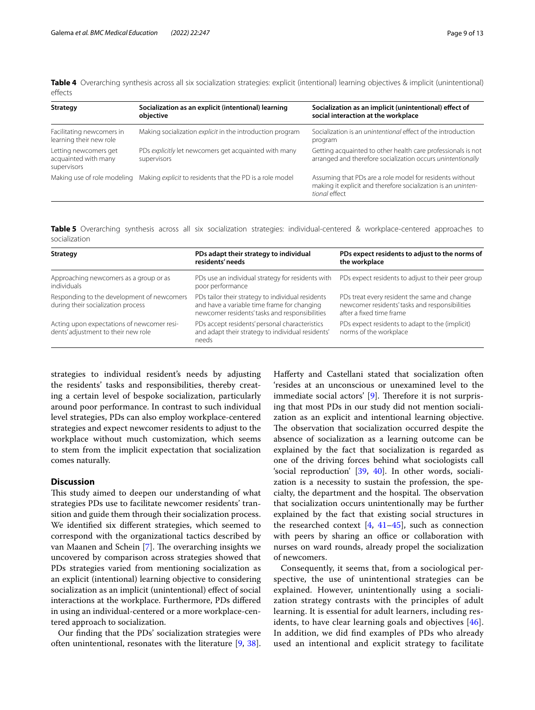<span id="page-8-0"></span>**Table 4** Overarching synthesis across all six socialization strategies: explicit (intentional) learning objectives & implicit (unintentional) effects

| Strategy                                                     | Socialization as an explicit (intentional) learning<br>objective     | Socialization as an implicit (unintentional) effect of<br>social interaction at the workplace                                              |
|--------------------------------------------------------------|----------------------------------------------------------------------|--------------------------------------------------------------------------------------------------------------------------------------------|
| Facilitating newcomers in<br>learning their new role         | Making socialization explicit in the introduction program            | Socialization is an <i>unintentional</i> effect of the introduction<br>program                                                             |
| Letting newcomers get<br>acquainted with many<br>supervisors | PDs explicitly let newcomers get acquainted with many<br>supervisors | Getting acquainted to other health care professionals is not<br>arranged and therefore socialization occurs unintentionally                |
| Making use of role modeling                                  | Making explicit to residents that the PD is a role model             | Assuming that PDs are a role model for residents without<br>making it explicit and therefore socialization is an uninten-<br>tional effect |

<span id="page-8-1"></span>**Table 5** Overarching synthesis across all six socialization strategies: individual-centered & workplace-centered approaches to socialization

| <b>Strategy</b>                                                                   | PDs adapt their strategy to individual<br>residents' needs                                                                                         | PDs expect residents to adjust to the norms of<br>the workplace                                                            |
|-----------------------------------------------------------------------------------|----------------------------------------------------------------------------------------------------------------------------------------------------|----------------------------------------------------------------------------------------------------------------------------|
| Approaching newcomers as a group or as<br>individuals                             | PDs use an individual strategy for residents with<br>poor performance                                                                              | PDs expect residents to adjust to their peer group                                                                         |
| Responding to the development of newcomers<br>during their socialization process  | PDs tailor their strategy to individual residents<br>and have a variable time frame for changing<br>newcomer residents' tasks and responsibilities | PDs treat every resident the same and change<br>newcomer residents' tasks and responsibilities<br>after a fixed time frame |
| Acting upon expectations of newcomer resi-<br>dents' adjustment to their new role | PDs accept residents' personal characteristics<br>and adapt their strategy to individual residents'<br>needs                                       | PDs expect residents to adapt to the (implicit)<br>norms of the workplace                                                  |

strategies to individual resident's needs by adjusting the residents' tasks and responsibilities, thereby creating a certain level of bespoke socialization, particularly around poor performance. In contrast to such individual level strategies, PDs can also employ workplace-centered strategies and expect newcomer residents to adjust to the workplace without much customization, which seems to stem from the implicit expectation that socialization comes naturally.

#### **Discussion**

This study aimed to deepen our understanding of what strategies PDs use to facilitate newcomer residents' transition and guide them through their socialization process. We identifed six diferent strategies, which seemed to correspond with the organizational tactics described by van Maanen and Schein [[7\]](#page-11-6). The overarching insights we uncovered by comparison across strategies showed that PDs strategies varied from mentioning socialization as an explicit (intentional) learning objective to considering socialization as an implicit (unintentional) effect of social interactions at the workplace. Furthermore, PDs difered in using an individual-centered or a more workplace-centered approach to socialization.

Our fnding that the PDs' socialization strategies were often unintentional, resonates with the literature [\[9,](#page-11-8) [38](#page-12-21)]. Haferty and Castellani stated that socialization often 'resides at an unconscious or unexamined level to the immediate social actors' [\[9](#page-11-8)]. Therefore it is not surprising that most PDs in our study did not mention socialization as an explicit and intentional learning objective. The observation that socialization occurred despite the absence of socialization as a learning outcome can be explained by the fact that socialization is regarded as one of the driving forces behind what sociologists call 'social reproduction' [[39](#page-12-22), [40](#page-12-23)]. In other words, socialization is a necessity to sustain the profession, the specialty, the department and the hospital. The observation that socialization occurs unintentionally may be further explained by the fact that existing social structures in the researched context  $[4, 41-45]$  $[4, 41-45]$  $[4, 41-45]$  $[4, 41-45]$ , such as connection with peers by sharing an office or collaboration with nurses on ward rounds, already propel the socialization of newcomers.

Consequently, it seems that, from a sociological perspective, the use of unintentional strategies can be explained. However, unintentionally using a socialization strategy contrasts with the principles of adult learning. It is essential for adult learners, including residents, to have clear learning goals and objectives [[46](#page-12-26)]. In addition, we did fnd examples of PDs who already used an intentional and explicit strategy to facilitate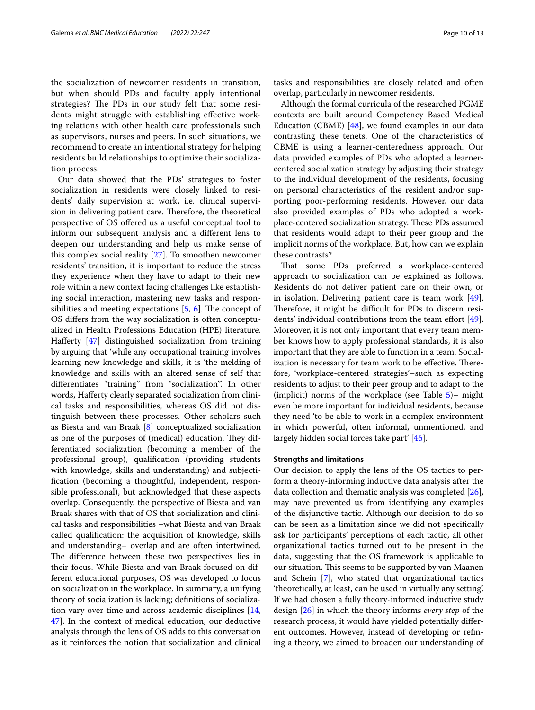the socialization of newcomer residents in transition, but when should PDs and faculty apply intentional strategies? The PDs in our study felt that some residents might struggle with establishing efective working relations with other health care professionals such as supervisors, nurses and peers. In such situations, we recommend to create an intentional strategy for helping residents build relationships to optimize their socialization process.

Our data showed that the PDs' strategies to foster socialization in residents were closely linked to residents' daily supervision at work, i.e. clinical supervision in delivering patient care. Therefore, the theoretical perspective of OS ofered us a useful conceptual tool to inform our subsequent analysis and a diferent lens to deepen our understanding and help us make sense of this complex social reality [\[27](#page-12-11)]. To smoothen newcomer residents' transition, it is important to reduce the stress they experience when they have to adapt to their new role within a new context facing challenges like establishing social interaction, mastering new tasks and responsibilities and meeting expectations  $[5, 6]$  $[5, 6]$  $[5, 6]$  $[5, 6]$ . The concept of OS difers from the way socialization is often conceptualized in Health Professions Education (HPE) literature. Haferty [[47](#page-12-27)] distinguished socialization from training by arguing that 'while any occupational training involves learning new knowledge and skills, it is 'the melding of knowledge and skills with an altered sense of self that diferentiates "training" from "socialization"'. In other words, Haferty clearly separated socialization from clinical tasks and responsibilities, whereas OS did not distinguish between these processes. Other scholars such as Biesta and van Braak [[8\]](#page-11-7) conceptualized socialization as one of the purposes of (medical) education. They differentiated socialization (becoming a member of the professional group), qualifcation (providing students with knowledge, skills and understanding) and subjectifcation (becoming a thoughtful, independent, responsible professional), but acknowledged that these aspects overlap. Consequently, the perspective of Biesta and van Braak shares with that of OS that socialization and clinical tasks and responsibilities –what Biesta and van Braak called qualifcation: the acquisition of knowledge, skills and understanding– overlap and are often intertwined. The difference between these two perspectives lies in their focus. While Biesta and van Braak focused on different educational purposes, OS was developed to focus on socialization in the workplace. In summary, a unifying theory of socialization is lacking; defnitions of socialization vary over time and across academic disciplines [\[14](#page-11-13), [47\]](#page-12-27). In the context of medical education, our deductive analysis through the lens of OS adds to this conversation as it reinforces the notion that socialization and clinical tasks and responsibilities are closely related and often overlap, particularly in newcomer residents.

Although the formal curricula of the researched PGME contexts are built around Competency Based Medical Education (CBME) [\[48\]](#page-12-28), we found examples in our data contrasting these tenets. One of the characteristics of CBME is using a learner-centeredness approach. Our data provided examples of PDs who adopted a learnercentered socialization strategy by adjusting their strategy to the individual development of the residents, focusing on personal characteristics of the resident and/or supporting poor-performing residents. However, our data also provided examples of PDs who adopted a workplace-centered socialization strategy. These PDs assumed that residents would adapt to their peer group and the implicit norms of the workplace. But, how can we explain these contrasts?

That some PDs preferred a workplace-centered approach to socialization can be explained as follows. Residents do not deliver patient care on their own, or in isolation. Delivering patient care is team work [\[49](#page-12-29)]. Therefore, it might be difficult for PDs to discern resi-dents' individual contributions from the team effort [\[49](#page-12-29)]. Moreover, it is not only important that every team member knows how to apply professional standards, it is also important that they are able to function in a team. Socialization is necessary for team work to be effective. Therefore, 'workplace-centered strategies'–such as expecting residents to adjust to their peer group and to adapt to the (implicit) norms of the workplace (see Table  $5$ )– might even be more important for individual residents, because they need 'to be able to work in a complex environment in which powerful, often informal, unmentioned, and largely hidden social forces take part' [[46\]](#page-12-26).

## **Strengths and limitations**

Our decision to apply the lens of the OS tactics to perform a theory-informing inductive data analysis after the data collection and thematic analysis was completed [\[26](#page-12-10)], may have prevented us from identifying any examples of the disjunctive tactic. Although our decision to do so can be seen as a limitation since we did not specifcally ask for participants' perceptions of each tactic, all other organizational tactics turned out to be present in the data, suggesting that the OS framework is applicable to our situation. This seems to be supported by van Maanen and Schein [\[7](#page-11-6)], who stated that organizational tactics 'theoretically, at least, can be used in virtually any setting'. If we had chosen a fully theory-informed inductive study design [\[26](#page-12-10)] in which the theory informs *every step* of the research process, it would have yielded potentially diferent outcomes. However, instead of developing or refning a theory, we aimed to broaden our understanding of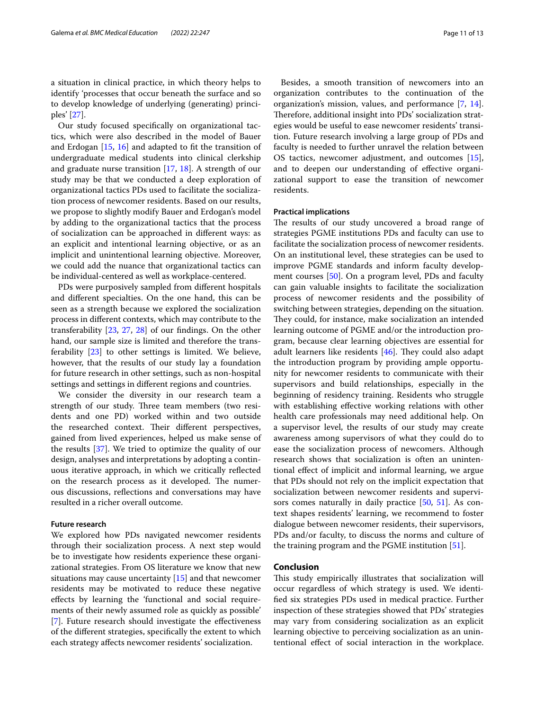Our study focused specifcally on organizational tactics, which were also described in the model of Bauer and Erdogan [[15](#page-11-14), [16](#page-12-0)] and adapted to ft the transition of undergraduate medical students into clinical clerkship and graduate nurse transition [\[17,](#page-12-1) [18](#page-12-2)]. A strength of our study may be that we conducted a deep exploration of organizational tactics PDs used to facilitate the socialization process of newcomer residents. Based on our results, we propose to slightly modify Bauer and Erdogan's model by adding to the organizational tactics that the process of socialization can be approached in diferent ways: as an explicit and intentional learning objective, or as an implicit and unintentional learning objective. Moreover, we could add the nuance that organizational tactics can be individual-centered as well as workplace-centered.

PDs were purposively sampled from diferent hospitals and diferent specialties. On the one hand, this can be seen as a strength because we explored the socialization process in diferent contexts, which may contribute to the transferability [\[23](#page-12-7), [27,](#page-12-11) [28](#page-12-12)] of our fndings. On the other hand, our sample size is limited and therefore the transferability [[23\]](#page-12-7) to other settings is limited. We believe, however, that the results of our study lay a foundation for future research in other settings, such as non-hospital settings and settings in diferent regions and countries.

We consider the diversity in our research team a strength of our study. Three team members (two residents and one PD) worked within and two outside the researched context. Their different perspectives, gained from lived experiences, helped us make sense of the results [[37\]](#page-12-20). We tried to optimize the quality of our design, analyses and interpretations by adopting a continuous iterative approach, in which we critically refected on the research process as it developed. The numerous discussions, refections and conversations may have resulted in a richer overall outcome.

#### **Future research**

We explored how PDs navigated newcomer residents through their socialization process. A next step would be to investigate how residents experience these organizational strategies. From OS literature we know that new situations may cause uncertainty [[15\]](#page-11-14) and that newcomer residents may be motivated to reduce these negative efects by learning the 'functional and social requirements of their newly assumed role as quickly as possible' [[7\]](#page-11-6). Future research should investigate the effectiveness of the diferent strategies, specifcally the extent to which each strategy afects newcomer residents' socialization.

Besides, a smooth transition of newcomers into an organization contributes to the continuation of the organization's mission, values, and performance [\[7](#page-11-6), [14](#page-11-13)]. Therefore, additional insight into PDs' socialization strategies would be useful to ease newcomer residents' transition. Future research involving a large group of PDs and faculty is needed to further unravel the relation between OS tactics, newcomer adjustment, and outcomes [\[15](#page-11-14)], and to deepen our understanding of efective organizational support to ease the transition of newcomer residents.

#### **Practical implications**

The results of our study uncovered a broad range of strategies PGME institutions PDs and faculty can use to facilitate the socialization process of newcomer residents. On an institutional level, these strategies can be used to improve PGME standards and inform faculty development courses [[50](#page-12-30)]. On a program level, PDs and faculty can gain valuable insights to facilitate the socialization process of newcomer residents and the possibility of switching between strategies, depending on the situation. They could, for instance, make socialization an intended learning outcome of PGME and/or the introduction program, because clear learning objectives are essential for adult learners like residents  $[46]$  $[46]$ . They could also adapt the introduction program by providing ample opportunity for newcomer residents to communicate with their supervisors and build relationships, especially in the beginning of residency training. Residents who struggle with establishing effective working relations with other health care professionals may need additional help. On a supervisor level, the results of our study may create awareness among supervisors of what they could do to ease the socialization process of newcomers. Although research shows that socialization is often an unintentional efect of implicit and informal learning, we argue that PDs should not rely on the implicit expectation that socialization between newcomer residents and supervisors comes naturally in daily practice [\[50](#page-12-30), [51\]](#page-12-31). As context shapes residents' learning, we recommend to foster dialogue between newcomer residents, their supervisors, PDs and/or faculty, to discuss the norms and culture of the training program and the PGME institution [[51](#page-12-31)].

## **Conclusion**

This study empirically illustrates that socialization will occur regardless of which strategy is used. We identifed six strategies PDs used in medical practice. Further inspection of these strategies showed that PDs' strategies may vary from considering socialization as an explicit learning objective to perceiving socialization as an unintentional efect of social interaction in the workplace.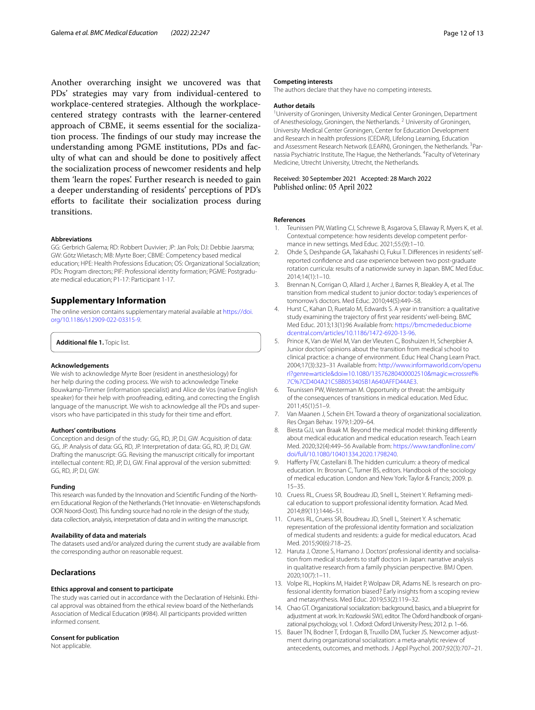Another overarching insight we uncovered was that PDs' strategies may vary from individual-centered to workplace-centered strategies. Although the workplacecentered strategy contrasts with the learner-centered approach of CBME, it seems essential for the socialization process. The findings of our study may increase the understanding among PGME institutions, PDs and faculty of what can and should be done to positively afect the socialization process of newcomer residents and help them 'learn the ropes'. Further research is needed to gain a deeper understanding of residents' perceptions of PD's efforts to facilitate their socialization process during transitions.

#### **Abbreviations**

GG: Gerbrich Galema; RD: Robbert Duvivier; JP: Jan Pols; DJ: Debbie Jaarsma; GW: Götz Wietasch; MB: Myrte Boer; CBME: Competency based medical education; HPE: Health Professions Education; OS: Organizational Socialization; PDs: Program directors; PIF: Professional identity formation; PGME: Postgraduate medical education; P1-17: Participant 1-17.

## **Supplementary Information**

The online version contains supplementary material available at [https://doi.](https://doi.org/10.1186/s12909-022-03315-9) [org/10.1186/s12909-022-03315-9](https://doi.org/10.1186/s12909-022-03315-9).

<span id="page-11-15"></span>**Additional fle 1.** Topic list.

#### **Acknowledgements**

We wish to acknowledge Myrte Boer (resident in anesthesiology) for her help during the coding process. We wish to acknowledge Tineke Bouwkamp-Timmer (information specialist) and Alice de Vos (native English speaker) for their help with proofreading, editing, and correcting the English language of the manuscript. We wish to acknowledge all the PDs and supervisors who have participated in this study for their time and effort.

#### **Authors' contributions**

Conception and design of the study: GG, RD, JP, DJ, GW. Acquisition of data: GG, JP. Analysis of data: GG, RD, JP. Interpretation of data: GG, RD, JP, DJ, GW. Drafting the manuscript: GG. Revising the manuscript critically for important intellectual content: RD, JP, DJ, GW. Final approval of the version submitted: GG, RD, JP, DJ, GW.

#### **Funding**

This research was funded by the Innovation and Scientifc Funding of the Northern Educational Region of the Netherlands ('Het Innovatie- en Wetenschapsfonds OOR Noord-Oost). This funding source had no role in the design of the study, data collection, analysis, interpretation of data and in writing the manuscript.

#### **Availability of data and materials**

The datasets used and/or analyzed during the current study are available from the corresponding author on reasonable request.

### **Declarations**

#### **Ethics approval and consent to participate**

The study was carried out in accordance with the Declaration of Helsinki. Ethical approval was obtained from the ethical review board of the Netherlands Association of Medical Education (#984). All participants provided written informed consent.

#### **Consent for publication**

Not applicable.

#### **Competing interests**

The authors declare that they have no competing interests.

#### **Author details**

<sup>1</sup> University of Groningen, University Medical Center Groningen, Department of Anesthesiology, Groningen, the Netherlands.<sup>2</sup> University of Groningen, University Medical Center Groningen, Center for Education Development and Research in health professions (CEDAR), Lifelong Learning, Education and Assessment Research Network (LEARN), Groningen, the Netherlands. <sup>3</sup>Parnassia Psychiatric Institute, The Hague, the Netherlands. <sup>4</sup> Faculty of Veterinary Medicine, Utrecht University, Utrecht, the Netherlands.

Received: 30 September 2021 Accepted: 28 March 2022

#### **References**

- <span id="page-11-0"></span>1. Teunissen PW, Watling CJ, Schrewe B, Asgarova S, Ellaway R, Myers K, et al. Contextual competence: how residents develop competent performance in new settings. Med Educ. 2021;55:(9):1–10.
- <span id="page-11-1"></span>2. Ohde S, Deshpande GA, Takahashi O, Fukui T. Diferences in residents' selfreported confdence and case experience between two post-graduate rotation curricula: results of a nationwide survey in Japan. BMC Med Educ. 2014;14(1):1–10.
- <span id="page-11-2"></span>3. Brennan N, Corrigan O, Allard J, Archer J, Barnes R, Bleakley A, et al. The transition from medical student to junior doctor: today's experiences of tomorrow's doctors. Med Educ. 2010;44(5):449–58.
- <span id="page-11-3"></span>4. Hurst C, Kahan D, Ruetalo M, Edwards S. A year in transition: a qualitative study examining the trajectory of frst year residents' well-being. BMC Med Educ. 2013;13(1):96 Available from: [https://bmcmededuc.biome](http://dx.doi.org/10.1186/1472-6920-13-96) [dcentral.com/articles/10.1186/1472-6920-13-96.](http://dx.doi.org/10.1186/1472-6920-13-96)
- <span id="page-11-4"></span>5. Prince K, Van de Wiel M, Van der Vleuten C, Boshuizen H, Scherpbier A. Junior doctors' opinions about the transition from medical school to clinical practice: a change of environment. Educ Heal Chang Learn Pract. 2004;17(3):323–31 Available from: [http://www.informaworld.com/openu](http://dx.doi.org/10.1080/13576280400002510&magic=crossref%7C%7CD404A21C5BB053405B1A640AFFD44AE3) rl?genre=article&doi=[10.1080/13576280400002510&magic](http://dx.doi.org/10.1080/13576280400002510&magic=crossref%7C%7CD404A21C5BB053405B1A640AFFD44AE3)=crossref% [7C%7CD404A21C5BB053405B1A640AFFD44AE3.](http://dx.doi.org/10.1080/13576280400002510&magic=crossref%7C%7CD404A21C5BB053405B1A640AFFD44AE3)
- <span id="page-11-5"></span>6. Teunissen PW, Westerman M. Opportunity or threat: the ambiguity of the consequences of transitions in medical education. Med Educ. 2011;45(1):51–9.
- <span id="page-11-6"></span>7. Van Maanen J, Schein EH. Toward a theory of organizational socialization. Res Organ Behav. 1979;1:209–64.
- <span id="page-11-7"></span>8. Biesta GJJ, van Braak M. Beyond the medical model: thinking differently about medical education and medical education research. Teach Learn Med. 2020;32(4):449–56 Available from: [https://www.tandfonline.com/](http://dx.doi.org/10.1080/10401334.2020.1798240) [doi/full/10.1080/10401334.2020.1798240.](http://dx.doi.org/10.1080/10401334.2020.1798240)
- <span id="page-11-8"></span>9. Haferty FW, Castellani B. The hidden curriculum: a theory of medical education. In: Brosnan C, Turner BS, editors. Handbook of the sociology of medical education. London and New York: Taylor & Francis; 2009. p. 15–35.
- <span id="page-11-9"></span>10. Cruess RL, Cruess SR, Boudreau JD, Snell L, Steinert Y. Reframing medical education to support professional identity formation. Acad Med. 2014;89(11):1446–51.
- <span id="page-11-10"></span>11. Cruess RL, Cruess SR, Boudreau JD, Snell L, Steinert Y. A schematic representation of the professional identity formation and socialization of medical students and residents: a guide for medical educators. Acad Med. 2015;90(6):718–25.
- <span id="page-11-11"></span>12. Haruta J, Ozone S, Hamano J. Doctors' professional identity and socialisation from medical students to staff doctors in Japan: narrative analysis in qualitative research from a family physician perspective. BMJ Open. 2020;10(7):1–11.
- <span id="page-11-12"></span>13. Volpe RL, Hopkins M, Haidet P, Wolpaw DR, Adams NE. Is research on professional identity formation biased? Early insights from a scoping review and metasynthesis. Med Educ. 2019;53(2):119–32.
- <span id="page-11-13"></span>14. Chao GT. Organizational socialization: background, basics, and a blueprint for adjustment at work. In: Kozlowski SWJ, editor. The Oxford handbook of organizational psychology, vol. 1. Oxford: Oxford University Press; 2012. p. 1–66.
- <span id="page-11-14"></span>15. Bauer TN, Bodner T, Erdogan B, Truxillo DM, Tucker JS. Newcomer adjustment during organizational socialization: a meta-analytic review of antecedents, outcomes, and methods. J Appl Psychol. 2007;92(3):707–21.